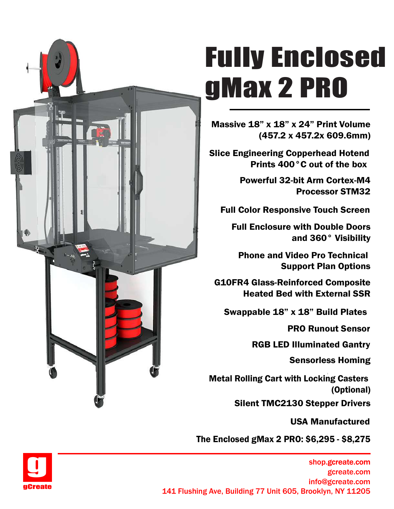

# Fully Enclosed gMax 2 PRO

Massive 18" x 18" x 24" Print Volume (457.2 x 457.2x 609.6mm)

Slice Engineering Copperhead Hotend Prints 400°C out of the box

> Powerful 32-bit Arm Cortex-M4 Processor STM32

Full Color Responsive Touch Screen

and 360° Visibility

Phone and Video Pro Technical Support Plan Options

G10FR4 Glass-Reinforced Composite Heated Bed with External SSR

Swappable 18" x 18" Build Plates

PRO Runout Sensor  $\overline{\phantom{a}}$ 

RGB LED Illuminated Gantry

Sensorless Homing

Full Enclosure with Double Doors<br>
and 360° Visibility<br>
Phone and Video Pro Technical<br>
Support Plan Options<br>
FR4 Glass-Reinforced Composite<br>
Heated Bed with External SSR<br>
wappable 18" x 18" Build Plates<br>
PRO Runout Sensor<br> Metal Rolling Cart with Locking Casters (Optional)

Silent TMC2130 Stepper Drivers

USA Manufactured

The Enclosed gMax 2 PRO: \$6,295 - \$8,275



shop.gcreate.com gcreate.com info@gcreate.com **gCreate**<br>141 Flushing Ave, Building 77 Unit 605, Brooklyn, NY 11205